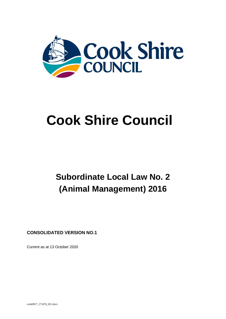

# **Cook Shire Council**

## **Subordinate Local Law No. 2 (Animal Management) 2016**

**CONSOLIDATED VERSION NO.1**

Current as at 13 October 2020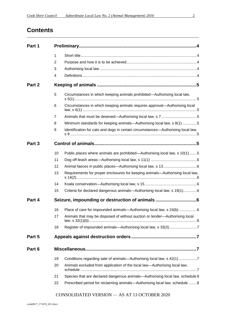## **Contents**

| Part 1 |                |                                                                                  |  |
|--------|----------------|----------------------------------------------------------------------------------|--|
|        | $\mathbf{1}$   |                                                                                  |  |
|        | $\overline{2}$ |                                                                                  |  |
|        | 3              |                                                                                  |  |
|        | 4              |                                                                                  |  |
| Part 2 |                |                                                                                  |  |
|        | 5              | Circumstances in which keeping animals prohibited—Authorising local law,         |  |
|        | 6              | Circumstances in which keeping animals requires approval—Authorising local       |  |
|        | 7              |                                                                                  |  |
|        | 8              | Minimum standards for keeping animals-Authorising local law, s 8(1) 5            |  |
|        | 9              | Identification for cats and dogs in certain circumstances—Authorising local law, |  |
| Part 3 |                |                                                                                  |  |
|        | 10             | Public places where animals are prohibited—Authorising local law, s 10(1) 5      |  |
|        | 11             |                                                                                  |  |
|        | 12             |                                                                                  |  |
|        | 13             | Requirements for proper enclosures for keeping animals-Authorising local law,    |  |
|        | 14             |                                                                                  |  |
|        | 15             | Criteria for declared dangerous animals-Authorising local law, s 19(1)6          |  |
| Part 4 |                | Seizure, impounding or destruction of animals 6                                  |  |
|        | 16             | Place of care for impounded animals-Authorising local law, s 24(b) 6             |  |
|        | 17             | Animals that may be disposed of without auction or tender-Authorising local      |  |
|        | 18             | Register of impounded animals-Authorising local law, s 33(3) 7                   |  |
| Part 5 |                |                                                                                  |  |
| Part 6 |                |                                                                                  |  |
|        | 19             | Conditions regarding sale of animals—Authorising local law, s 42(1) 7            |  |
|        | 20             | Animals excluded from application of the local law—Authorising local law,        |  |
|        | 21             | Species that are declared dangerous animals-Authorising local law, schedule 8    |  |
|        | 22             | Prescribed period for reclaiming animals—Authorising local law, schedule 8       |  |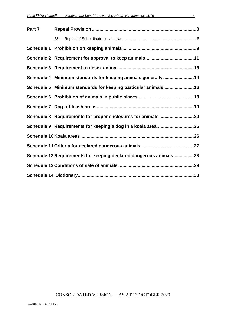| Part 7 |                                                                   |  |
|--------|-------------------------------------------------------------------|--|
|        | 23                                                                |  |
|        |                                                                   |  |
|        |                                                                   |  |
|        |                                                                   |  |
|        | Schedule 4 Minimum standards for keeping animals generally14      |  |
|        | Schedule 5 Minimum standards for keeping particular animals 16    |  |
|        |                                                                   |  |
|        |                                                                   |  |
|        | Schedule 8 Requirements for proper enclosures for animals 20      |  |
|        | Schedule 9 Requirements for keeping a dog in a koala area25       |  |
|        |                                                                   |  |
|        |                                                                   |  |
|        | Schedule 12 Requirements for keeping declared dangerous animals28 |  |
|        |                                                                   |  |
|        |                                                                   |  |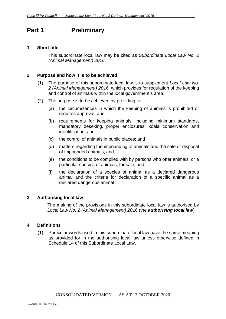#### <span id="page-3-1"></span><span id="page-3-0"></span>**1 Short title**

This subordinate local law may be cited as *Subordinate Local Law No. 2 (Animal Management) 2016.*

#### <span id="page-3-2"></span>**2 Purpose and how it is to be achieved**

- (1) The purpose of this subordinate local law is to supplement *Local Law No. 2 (Animal Management) 2016,* which provides for regulation of the keeping and control of animals within the local government's area.
- (2) The purpose is to be achieved by providing for—
	- (a) the circumstances in which the keeping of animals is prohibited or requires approval; and
	- (b) requirements for keeping animals, including minimum standards, mandatory desexing, proper enclosures, koala conservation and identification; and
	- (c) the control of animals in public places; and
	- (d) matters regarding the impounding of animals and the sale or disposal of impounded animals; and
	- (e) the conditions to be complied with by persons who offer animals, or a particular species of animals, for sale; and
	- (f) the declaration of a species of animal as a declared dangerous animal and the criteria for declaration of a specific animal as a declared dangerous animal.

#### <span id="page-3-3"></span>**3 Authorising local law**

The making of the provisions in this subordinate local law is authorised by *Local Law No. 2 (Animal Management) 2016* (the *authorising local law*)*.*

#### <span id="page-3-4"></span>**4 Definitions**

<span id="page-3-5"></span>(1) Particular words used in this subordinate local law have the same meaning as provided for in the authorising local law unless otherwise defined in Schedule 14 of this Subordinate Local Law.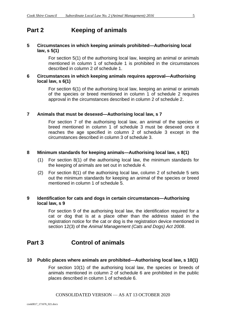## **Part 2 Keeping of animals**

#### <span id="page-4-0"></span>**5 Circumstances in which keeping animals prohibited—Authorising local law, s 5(1)**

For section 5(1) of the authorising local law, keeping an animal or animals mentioned in column 1 of schedule 1 is prohibited in the circumstances described in column 2 of schedule 1.

#### <span id="page-4-1"></span>**6 Circumstances in which keeping animals requires approval—Authorising local law, s 6(1)**

For section 6(1) of the authorising local law, keeping an animal or animals of the species or breed mentioned in column 1 of schedule 2 requires approval in the circumstances described in column 2 of schedule 2.

#### <span id="page-4-2"></span>**7 Animals that must be desexed—Authorising local law, s 7**

For section 7 of the authorising local law, an animal of the species or breed mentioned in column 1 of schedule 3 must be desexed once it reaches the age specified in column 2 of schedule 3 except in the circumstances described in column 3 of schedule 3.

#### <span id="page-4-3"></span>**8 Minimum standards for keeping animals—Authorising local law, s 8(1)**

- (1) For section 8(1) of the authorising local law, the minimum standards for the keeping of animals are set out in schedule 4.
- (2) For section 8(1) of the authorising local law, column 2 of schedule 5 sets out the minimum standards for keeping an animal of the species or breed mentioned in column 1 of schedule 5.

#### <span id="page-4-4"></span>**9 Identification for cats and dogs in certain circumstances—Authorising local law, s 9**

For section 9 of the authorising local law, the identification required for a cat or dog that is at a place other than the address stated in the registration notice for the cat or dog is the registration device mentioned in section 12(3) of the *Animal Management (Cats and Dogs) Act 2008*.

## <span id="page-4-5"></span>**Part 3 Control of animals**

#### <span id="page-4-6"></span>**10 Public places where animals are prohibited—Authorising local law, s 10(1)**

For section 10(1) of the authorising local law, the species or breeds of animals mentioned in column 2 of schedule 6 are prohibited in the public places described in column 1 of schedule 6.

#### CONSOLIDATED VERSION — AS AT 13 OCTOBER 2020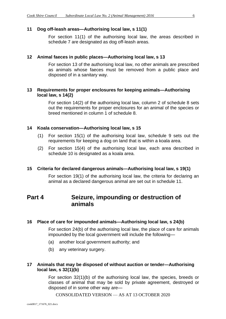#### <span id="page-5-0"></span>**11 Dog off-leash areas—Authorising local law, s 11(1)**

For section 11(1) of the authorising local law, the areas described in schedule 7 are designated as dog off-leash areas.

#### <span id="page-5-1"></span>**12 Animal faeces in public places—Authorising local law, s 13**

For section 13 of the authorising local law, no other animals are prescribed as animals whose faeces must be removed from a public place and disposed of in a sanitary way.

#### <span id="page-5-2"></span>**13 Requirements for proper enclosures for keeping animals—Authorising local law, s 14(2)**

For section 14(2) of the authorising local law, column 2 of schedule 8 sets out the requirements for proper enclosures for an animal of the species or breed mentioned in column 1 of schedule 8.

#### <span id="page-5-3"></span>**14 Koala conservation—Authorising local law, s 15**

- (1) For section 15(1) of the authorising local law, schedule 9 sets out the requirements for keeping a dog on land that is within a koala area.
- (2) For section 15(4) of the authorising local law, each area described in schedule 10 is designated as a koala area.

#### <span id="page-5-4"></span>**15 Criteria for declared dangerous animals—Authorising local law, s 19(1)**

For section 19(1) of the authorising local law, the criteria for declaring an animal as a declared dangerous animal are set out in schedule 11.

## <span id="page-5-5"></span>**Part 4 Seizure, impounding or destruction of animals**

#### <span id="page-5-6"></span>**16 Place of care for impounded animals—Authorising local law, s 24(b)**

For section 24(b) of the authorising local law, the place of care for animals impounded by the local government will include the following—

- (a) another local government authority; and
- (b) any veterinary surgery.

#### <span id="page-5-7"></span>**17 Animals that may be disposed of without auction or tender—Authorising local law, s 32(1)(b)**

For section 32(1)(b) of the authorising local law, the species, breeds or classes of animal that may be sold by private agreement, destroyed or disposed of in some other way are—

CONSOLIDATED VERSION — AS AT 13 OCTOBER 2020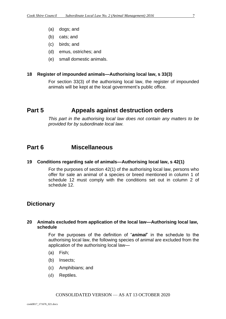- (a) dogs; and
- (b) cats; and
- (c) birds; and
- (d) emus, ostriches; and
- (e) small domestic animals.

#### <span id="page-6-0"></span>**18 Register of impounded animals—Authorising local law, s 33(3)**

For section 33(3) of the authorising local law, the register of impounded animals will be kept at the local government's public office.

### <span id="page-6-1"></span>**Part 5 Appeals against destruction orders**

*This part in the authorising local law does not contain any matters to be provided for by subordinate local law.*

#### <span id="page-6-2"></span>**Part 6 Miscellaneous**

#### <span id="page-6-3"></span>**19 Conditions regarding sale of animals—Authorising local law, s 42(1)**

For the purposes of section 42(1) of the authorising local law, persons who offer for sale an animal of a species or breed mentioned in column 1 of schedule 12 must comply with the conditions set out in column 2 of schedule 12.

#### **Dictionary**

#### <span id="page-6-4"></span>**20 Animals excluded from application of the local law—Authorising local law, schedule**

For the purposes of the definition of "*animal*" in the schedule to the authorising local law, the following species of animal are excluded from the application of the authorising local law—

- (a) Fish;
- (b) Insects;
- (c) Amphibians; and
- <span id="page-6-5"></span>(d) Reptiles.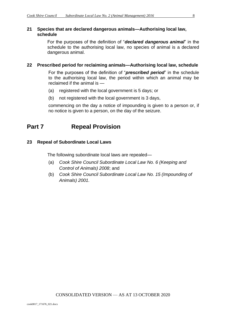#### **21 Species that are declared dangerous animals—Authorising local law, schedule**

For the purposes of the definition of "*declared dangerous animal*" in the schedule to the authorising local law, no species of animal is a declared dangerous animal.

#### <span id="page-7-0"></span>**22 Prescribed period for reclaiming animals—Authorising local law, schedule**

For the purposes of the definition of "*prescribed period*" in the schedule to the authorising local law, the period within which an animal may be reclaimed if the animal is —

- (a) registered with the local government is 5 days; or
- (b) not registered with the local government is 3 days,

commencing on the day a notice of impounding is given to a person or, if no notice is given to a person, on the day of the seizure.

## <span id="page-7-1"></span>**Part 7 Repeal Provision**

#### <span id="page-7-2"></span>**23 Repeal of Subordinate Local Laws**

The following subordinate local laws are repealed—

- (a) *Cook Shire Council Subordinate Local Law No. 6 (Keeping and Control of Animals) 2008*; and
- (b) *Cook Shire Council Subordinate Local Law No. 15 (Impounding of Animals) 2001.*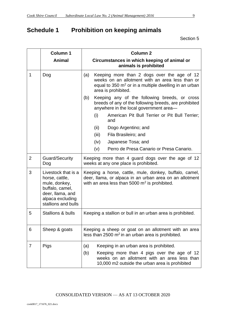## <span id="page-8-0"></span>**Schedule 1 Prohibition on keeping animals**

|                | <b>Column 1</b>                                                                                                                          | <b>Column 2</b>                                                                                                                                                                                        |  |  |
|----------------|------------------------------------------------------------------------------------------------------------------------------------------|--------------------------------------------------------------------------------------------------------------------------------------------------------------------------------------------------------|--|--|
|                | Animal                                                                                                                                   | Circumstances in which keeping of animal or<br>animals is prohibited                                                                                                                                   |  |  |
| 1              | Dog                                                                                                                                      | Keeping more than 2 dogs over the age of 12<br>(a)<br>weeks on an allotment with an area less than or<br>equal to 350 $m2$ or in a multiple dwelling in an urban<br>area is prohibited.                |  |  |
|                |                                                                                                                                          | Keeping any of the following breeds, or cross<br>(b)<br>breeds of any of the following breeds, are prohibited<br>anywhere in the local government area-                                                |  |  |
|                |                                                                                                                                          | American Pit Bull Terrier or Pit Bull Terrier;<br>(i)<br>and                                                                                                                                           |  |  |
|                |                                                                                                                                          | (ii)<br>Dogo Argentino; and                                                                                                                                                                            |  |  |
|                |                                                                                                                                          | (iii)<br>Fila Brasileiro; and                                                                                                                                                                          |  |  |
|                |                                                                                                                                          | (iv)<br>Japanese Tosa; and                                                                                                                                                                             |  |  |
|                |                                                                                                                                          | Perro de Presa Canario or Presa Canario.<br>(v)                                                                                                                                                        |  |  |
| $\overline{2}$ | <b>Guard/Security</b><br>Dog                                                                                                             | Keeping more than 4 guard dogs over the age of 12<br>weeks at any one place is prohibited.                                                                                                             |  |  |
| 3              | Livestock that is a<br>horse, cattle,<br>mule, donkey,<br>buffalo, camel,<br>deer, Ilama, and<br>alpaca excluding<br>stallions and bulls | Keeping a horse, cattle, mule, donkey, buffalo, camel,<br>deer, Ilama, or alpaca in an urban area on an allotment<br>with an area less than 5000 $m2$ is prohibited.                                   |  |  |
| 5              | Stallions & bulls                                                                                                                        | Keeping a stallion or bull in an urban area is prohibited.                                                                                                                                             |  |  |
| 6              | Sheep & goats                                                                                                                            | Keeping a sheep or goat on an allotment with an area<br>less than $2500 \text{ m}^2$ in an urban area is prohibited.                                                                                   |  |  |
| 7              | Pigs                                                                                                                                     | (a)<br>Keeping in an urban area is prohibited.<br>(b)<br>Keeping more than 4 pigs over the age of 12<br>weeks on an allotment with an area less than<br>10,000 m2 outside the urban area is prohibited |  |  |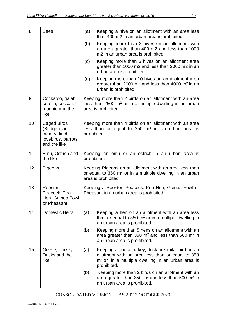| 8  | <b>Bees</b>                                                                         | Keeping a hive on an allotment with an area less<br>(a)<br>than 400 m2 in an urban area is prohibited.                                                                             |  |
|----|-------------------------------------------------------------------------------------|------------------------------------------------------------------------------------------------------------------------------------------------------------------------------------|--|
|    |                                                                                     | Keeping more than 2 hives on an allotment with<br>(b)<br>an area greater than 400 m2 and less than 1000<br>m2.in an urban area is prohibited.                                      |  |
|    |                                                                                     | Keeping more than 5 hives on an allotment area<br>(c)<br>greater than 1000 m2 and less than 2000 m2 in an<br>urban area is prohibited.                                             |  |
|    |                                                                                     | Keeping more than 10 hives on an allotment area<br>(d)<br>greater than 2000 $m^2$ and less than 4000 $m^2$ in an<br>urban is prohibited.                                           |  |
| 9  | Cockatoo, galah,<br>corella, cockatiel,<br>magpie and the<br>like                   | Keeping more than 2 birds on an allotment with an area<br>less than 2500 $m2$ or in a multiple dwelling in an urban<br>area is prohibited.                                         |  |
| 10 | Caged Birds<br>(Budgerigar,<br>canary, finch,<br>lovebirds, parrots<br>and the like | Keeping more than 4 birds on an allotment with an area<br>less than or equal to 350 $m2$ in an urban area is<br>prohibited.                                                        |  |
| 11 | Emu, Ostrich and<br>the like                                                        | Keeping an emu or an ostrich in an urban area is<br>prohibited.                                                                                                                    |  |
| 12 | Pigeons                                                                             | Keeping Pigeons on an allotment with an area less than<br>or equal to 350 $m2$ or in a multiple dwelling in an urban<br>area is prohibited.                                        |  |
| 13 | Rooster,<br>Peacock. Pea<br>Hen, Guinea Fowl<br>or Pheasant                         | Keeping a Rooster, Peacock. Pea Hen, Guinea Fowl or<br>Pheasant in an urban area is prohibited.                                                                                    |  |
| 14 | <b>Domestic Hens</b>                                                                | (a)<br>Keeping a hen on an allotment with an area less<br>than or equal to 350 $m2$ or in a multiple dwelling in<br>an urban area is prohibited.                                   |  |
|    |                                                                                     | (b)<br>Keeping more than 5 hens on an allotment with an<br>area greater than 350 $m^2$ and less than 500 $m^2$ in<br>an urban area is prohibited.                                  |  |
| 15 | Geese, Turkey,<br>Ducks and the<br>like                                             | (a)<br>Keeping a goose turkey, duck or similar bird on an<br>allotment with an area less than or equal to 350<br>$m2$ or in a multiple dwelling in an urban area is<br>prohibited. |  |
|    |                                                                                     | Keeping more than 2 birds on an allotment with an<br>(b)<br>area greater than 350 $m2$ and less than 500 $m2$ in<br>an urban area is prohibited.                                   |  |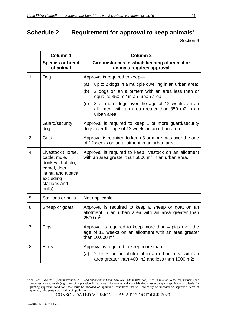## <span id="page-10-0"></span>**Schedule 2 Requirement for approval to keep animals** 1

|                | <b>Column 1</b><br><b>Species or breed</b><br>of animal                                                                             | <b>Column 2</b><br>Circumstances in which keeping of animal or<br>animals requires approval                                                                                                                                                                                                                             |
|----------------|-------------------------------------------------------------------------------------------------------------------------------------|-------------------------------------------------------------------------------------------------------------------------------------------------------------------------------------------------------------------------------------------------------------------------------------------------------------------------|
| 1              | Dog                                                                                                                                 | Approval is required to keep-<br>up to 2 dogs in a multiple dwelling in an urban area;<br>(a)<br>(b)<br>2 dogs on an allotment with an area less than or<br>equal to 350 m2 in an urban area;<br>3 or more dogs over the age of 12 weeks on an<br>(c)<br>allotment with an area greater than 350 m2 in an<br>urban area |
|                | Guard/security<br>dog                                                                                                               | Approval is required to keep 1 or more guard/security<br>dogs over the age of 12 weeks in an urban area.                                                                                                                                                                                                                |
| 3              | Cats                                                                                                                                | Approval is required to keep 3 or more cats over the age<br>of 12 weeks on an allotment in an urban area.                                                                                                                                                                                                               |
| $\overline{4}$ | Livestock (Horse,<br>cattle, mule,<br>donkey, buffalo,<br>camel, deer,<br>llama, and alpaca<br>excluding<br>stallions and<br>bulls) | Approval is required to keep livestock on an allotment<br>with an area greater than 5000 $m2$ in an urban area.                                                                                                                                                                                                         |
| 5              | <b>Stallions or bulls</b>                                                                                                           | Not applicable.                                                                                                                                                                                                                                                                                                         |
| 6              | Sheep or goats                                                                                                                      | Approval is required to keep a sheep or goat on an<br>allotment in an urban area with an area greater than<br>2500 $m^2$ .                                                                                                                                                                                              |
| 7              | Pigs                                                                                                                                | Approval is required to keep more than 4 pigs over the<br>age of 12 weeks on an allotment with an area greater<br>than 10,000 m <sup>2</sup> .                                                                                                                                                                          |
| 8              | <b>Bees</b>                                                                                                                         | Approval is required to keep more than-<br>2 hives on an allotment in an urban area with an<br>(a)<br>area greater than 400 m2 and less than 1000 m2;                                                                                                                                                                   |

<sup>&</sup>lt;sup>1</sup> See *Local Law No.1 (Administration) 2016* and *Subordinate Local Law No.1 (Administration) 2016* in relation to the requirements and processes for approvals (e.g. form of application for approval, documents and materials that must accompany applications, criteria for granting approval, conditions that must be imposed on approvals, conditions that will ordinarily be imposed on approvals, term of approval, third party certification of applications).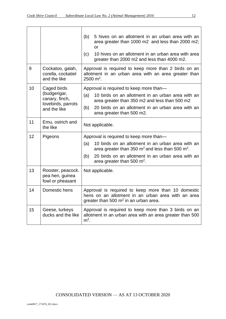|    |                                                          | 5 hives on an allotment in an urban area with an<br>(b)<br>area greater than 1000 m2 and less than 2000 m2;<br>or<br>(c)<br>10 hives on an allotment in an urban area with area<br>greater than 2000 m2 and less than 4000 m2. |  |
|----|----------------------------------------------------------|--------------------------------------------------------------------------------------------------------------------------------------------------------------------------------------------------------------------------------|--|
| 9  | Cockatoo, galah,<br>corella, cockatiel<br>and the like   | Approval is required to keep more than 2 birds on an<br>allotment in an urban area with an area greater than<br>$2500 \text{ m}^2$ .                                                                                           |  |
| 10 | Caged birds<br>(budgerigar,                              | Approval is required to keep more than-<br>10 birds on an allotment in an urban area with an<br>(a)                                                                                                                            |  |
|    | canary, finch,<br>lovebirds, parrots                     | area greater than 350 m2 and less than 500 m2                                                                                                                                                                                  |  |
|    | and the like                                             | 20 birds on an allotment in an urban area with an<br>(b)<br>area greater than 500 m2.                                                                                                                                          |  |
| 11 | Emu, ostrich and<br>the like                             | Not applicable.                                                                                                                                                                                                                |  |
| 12 | Pigeons                                                  | Approval is required to keep more than-                                                                                                                                                                                        |  |
|    |                                                          | (a)<br>10 birds on an allotment in an urban area with an<br>area greater than 350 $m2$ and less than 500 $m2$ .                                                                                                                |  |
|    |                                                          | 20 birds on an allotment in an urban area with an<br>(b)<br>area greater than 500 $m2$ .                                                                                                                                       |  |
| 13 | Rooster, peacock.<br>pea hen, guinea<br>fowl or pheasant | Not applicable.                                                                                                                                                                                                                |  |
| 14 | Domestic hens                                            | Approval is required to keep more than 10 domestic<br>hens on an allotment in an urban area with an area<br>greater than 500 $m2$ in an urban area.                                                                            |  |
| 15 | Geese, turkeys<br>ducks and the like                     | Approval is required to keep more than 3 birds on an<br>allotment in an urban area with an area greater than 500<br>$m2$ .                                                                                                     |  |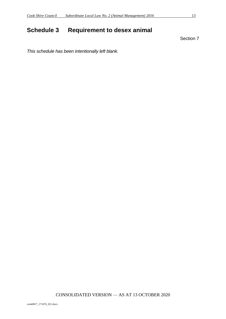## <span id="page-12-0"></span>**Schedule 3 Requirement to desex animal**

Section 7

*This schedule has been intentionally left blank.*

CONSOLIDATED VERSION — AS AT 13 OCTOBER 2020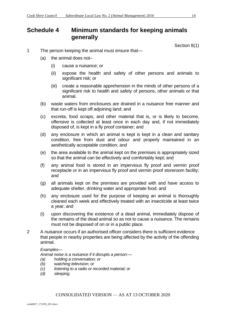## <span id="page-13-0"></span>**Schedule 4 Minimum standards for keeping animals generally**

Section 8(1)

- 1 The person keeping the animal must ensure that—
	- (a) the animal does not–
		- (i) cause a nuisance; or
		- (ii) expose the health and safety of other persons and animals to significant risk; or
		- (iii) create a reasonable apprehension in the minds of other persons of a significant risk to health and safety of persons, other animals or that animal.
	- (b) waste waters from enclosures are drained in a nuisance free manner and that run-off is kept off adjoining land; and
	- (c) excreta, food scraps, and other material that is, or is likely to become, offensive is collected at least once in each day and, if not immediately disposed of, is kept in a fly proof container; and
	- (d) any enclosure in which an animal is kept is kept in a clean and sanitary condition, free from dust and odour and properly maintained in an aesthetically acceptable condition; and
	- (e) the area available to the animal kept on the premises is appropriately sized so that the animal can be effectively and comfortably kept; and
	- (f) any animal food is stored in an impervious fly proof and vermin proof receptacle or in an impervious fly proof and vermin proof storeroom facility; and
	- (g) all animals kept on the premises are provided with and have access to adequate shelter, drinking water and appropriate food; and
	- (h) any enclosure used for the purpose of keeping an animal is thoroughly cleaned each week and effectively treated with an insecticide at least twice a year; and
	- (i) upon discovering the existence of a dead animal, immediately dispose of the remains of the dead animal so as not to cause a nuisance. The remains must not be disposed of on or in a public place.
- 2 A nuisance occurs if an authorised officer considers there is sufficient evidence that people in nearby properties are being affected by the activity of the offending animal.

#### *Examples—*

*Animal noise is a nuisance if it disrupts a person:—*

- *(a) holding a conversation; or*
- *(b) watching television; or*
- *(c) listening to a radio or recorded material; or*
- *(d) sleeping.*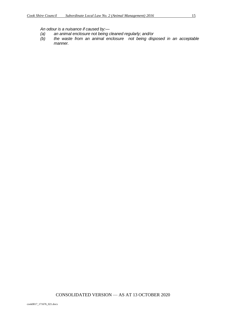- *(a) an animal enclosure not being cleaned regularly; and/or*
- *(b) the waste from an animal enclosure not being disposed in an acceptable manner.*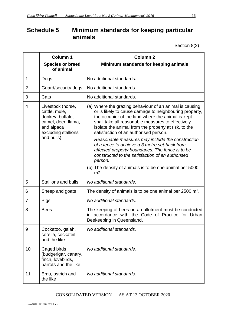## <span id="page-15-0"></span>**Schedule 5 Minimum standards for keeping particular animals**

Section 8(2)

|                | <b>Column 1</b><br><b>Species or breed</b><br>of animal                                                                          | <b>Column 2</b><br>Minimum standards for keeping animals                                                                                                                                                                                                                                                                                                                                                                                                                                                                                                                                                                            |  |
|----------------|----------------------------------------------------------------------------------------------------------------------------------|-------------------------------------------------------------------------------------------------------------------------------------------------------------------------------------------------------------------------------------------------------------------------------------------------------------------------------------------------------------------------------------------------------------------------------------------------------------------------------------------------------------------------------------------------------------------------------------------------------------------------------------|--|
| 1              | Dogs                                                                                                                             | No additional standards.                                                                                                                                                                                                                                                                                                                                                                                                                                                                                                                                                                                                            |  |
| $\overline{2}$ | Guard/security dogs                                                                                                              | No additional standards.                                                                                                                                                                                                                                                                                                                                                                                                                                                                                                                                                                                                            |  |
| 3              | Cats                                                                                                                             | No additional standards.                                                                                                                                                                                                                                                                                                                                                                                                                                                                                                                                                                                                            |  |
| 4              | Livestock (horse,<br>cattle, mule,<br>donkey, buffalo,<br>camel, deer, llama,<br>and alpaca<br>excluding stallions<br>and bulls) | (a) Where the grazing behaviour of an animal is causing<br>or is likely to cause damage to neighbouring property,<br>the occupier of the land where the animal is kept<br>shall take all reasonable measures to effectively<br>isolate the animal from the property at risk, to the<br>satisfaction of an authorised person.<br>Reasonable measures may include the construction<br>of a fence to achieve a 3 metre set-back from<br>affected property boundaries. The fence is to be<br>constructed to the satisfaction of an authorised<br>person.<br>(b) The density of animals is to be one animal per 5000<br>m <sub>2</sub> . |  |
| 5              | <b>Stallions and bulls</b>                                                                                                       | No additional standards.                                                                                                                                                                                                                                                                                                                                                                                                                                                                                                                                                                                                            |  |
| 6              | Sheep and goats                                                                                                                  | The density of animals is to be one animal per 2500 $m2$ .                                                                                                                                                                                                                                                                                                                                                                                                                                                                                                                                                                          |  |
| 7              | Pigs                                                                                                                             | No additional standards.                                                                                                                                                                                                                                                                                                                                                                                                                                                                                                                                                                                                            |  |
| 8              | <b>Bees</b>                                                                                                                      | The keeping of bees on an allotment must be conducted<br>in accordance with the Code of Practice for Urban<br>Beekeeping in Queensland.                                                                                                                                                                                                                                                                                                                                                                                                                                                                                             |  |
| 9              | Cockatoo, galah,<br>corella, cockateil<br>and the like                                                                           | No additional standards.                                                                                                                                                                                                                                                                                                                                                                                                                                                                                                                                                                                                            |  |
| 10             | Caged birds<br>(budgerigar, canary,<br>finch, lovebirds,<br>parrots and the like                                                 | No additional standards.                                                                                                                                                                                                                                                                                                                                                                                                                                                                                                                                                                                                            |  |
| 11             | Emu, ostrich and<br>No additional standards.<br>the like                                                                         |                                                                                                                                                                                                                                                                                                                                                                                                                                                                                                                                                                                                                                     |  |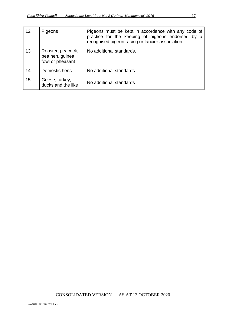| 12 | Pigeons                                                  | Pigeons must be kept in accordance with any code of<br>practice for the keeping of pigeons endorsed by a<br>recognised pigeon racing or fancier association. |
|----|----------------------------------------------------------|--------------------------------------------------------------------------------------------------------------------------------------------------------------|
| 13 | Rooster, peacock,<br>pea hen, guinea<br>fowl or pheasant | No additional standards.                                                                                                                                     |
| 14 | Domestic hens                                            | No additional standards                                                                                                                                      |
| 15 | Geese, turkey,<br>ducks and the like                     | No additional standards                                                                                                                                      |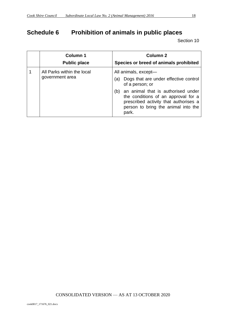## <span id="page-17-0"></span>**Schedule 6 Prohibition of animals in public places**

| <b>Column 1</b><br><b>Public place</b>        | <b>Column 2</b><br>Species or breed of animals prohibited                                                                                                                                                                                                            |
|-----------------------------------------------|----------------------------------------------------------------------------------------------------------------------------------------------------------------------------------------------------------------------------------------------------------------------|
| All Parks within the local<br>government area | All animals, except-<br>Dogs that are under effective control<br>(a)<br>of a person; or<br>an animal that is authorised under<br>(b)<br>the conditions of an approval for a<br>prescribed activity that authorises a<br>person to bring the animal into the<br>park. |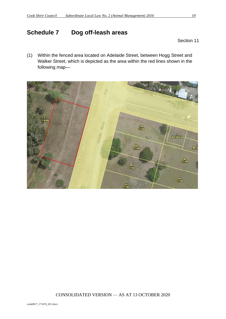## <span id="page-18-0"></span>**Schedule 7 Dog off-leash areas**

Section 11

(1) Within the fenced area located on Adelaide Street, between Hogg Street and Walker Street, which is depicted as the area within the red lines shown in the following map—

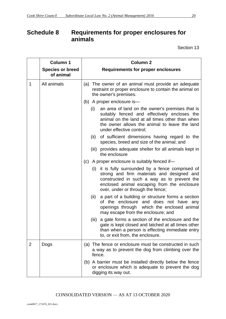## <span id="page-19-0"></span>**Schedule 8 Requirements for proper enclosures for animals**

|                | <b>Column 1</b>                      | <b>Column 2</b>                                                                                                                                                                                                                        |
|----------------|--------------------------------------|----------------------------------------------------------------------------------------------------------------------------------------------------------------------------------------------------------------------------------------|
|                | <b>Species or breed</b><br>of animal | <b>Requirements for proper enclosures</b>                                                                                                                                                                                              |
| $\mathbf 1$    | All animals                          | (a) The owner of an animal must provide an adequate<br>restraint or proper enclosure to contain the animal on<br>the owner's premises.                                                                                                 |
|                |                                      | (b) A proper enclosure is-                                                                                                                                                                                                             |
|                |                                      | (i)<br>an area of land on the owner's premises that is<br>suitably fenced and effectively encloses the<br>animal on the land at all times other than when<br>the owner allows the animal to leave the land<br>under effective control; |
|                |                                      | of sufficient dimensions having regard to the<br>(ii)<br>species, breed and size of the animal; and                                                                                                                                    |
|                |                                      | (iii) provides adequate shelter for all animals kept in<br>the enclosure                                                                                                                                                               |
|                |                                      | A proper enclosure is suitably fenced if-<br>(c)                                                                                                                                                                                       |
|                |                                      | it is fully surrounded by a fence comprised of<br>(i)<br>strong and firm materials and designed and<br>constructed in such a way as to prevent the<br>enclosed animal escaping from the enclosure<br>over, under or through the fence; |
|                |                                      | (ii)<br>a part of a building or structure forms a section<br>of the enclosure and does not have any<br>openings through which the enclosed animal<br>may escape from the enclosure; and                                                |
|                |                                      | a gate forms a section of the enclosure and the<br>(iii)<br>gate is kept closed and latched at all times other<br>than when a person is effecting immediate entry<br>to, or exit from, the enclosure.                                  |
| $\overline{2}$ | Dogs                                 | (a) The fence or enclosure must be constructed in such<br>a way as to prevent the dog from climbing over the<br>fence.                                                                                                                 |
|                |                                      | A barrier must be installed directly below the fence<br>(b)<br>or enclosure which is adequate to prevent the dog<br>digging its way out.                                                                                               |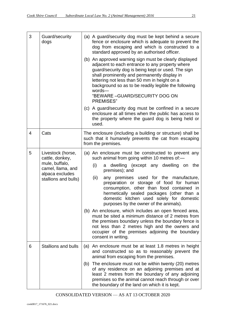| 3              | Guard/security                          | (a) A guard/security dog must be kept behind a secure                                                                                                                                                                                                                                                                                                                |
|----------------|-----------------------------------------|----------------------------------------------------------------------------------------------------------------------------------------------------------------------------------------------------------------------------------------------------------------------------------------------------------------------------------------------------------------------|
|                | dogs                                    | fence or enclosure which is adequate to prevent the<br>dog from escaping and which is constructed to a<br>standard approved by an authorised officer.                                                                                                                                                                                                                |
|                |                                         | (b) An approved warning sign must be clearly displayed<br>adjacent to each entrance to any property where<br>guard/security dog is being kept or used. The sign<br>shall prominently and permanently display in<br>lettering not less than 50 mm in height on a<br>background so as to be readily legible the following<br>words-<br>"BEWARE - GUARD/SECURITY DOG ON |
|                |                                         | <b>PREMISES</b> "<br>(c) A guard/security dog must be confined in a secure<br>enclosure at all times when the public has access to<br>the property where the guard dog is being held or<br>used.                                                                                                                                                                     |
| $\overline{4}$ | Cats                                    | The enclosure (including a building or structure) shall be<br>such that it humanely prevents the cat from escaping<br>from the premises.                                                                                                                                                                                                                             |
| 5              | Livestock (horse,<br>cattle, donkey,    | (a) An enclosure must be constructed to prevent any<br>such animal from going within 10 metres of:-                                                                                                                                                                                                                                                                  |
|                | mule, buffalo,<br>camel, Ilama, and     | (i)<br>a dwelling (except any dwelling on the<br>premises); and                                                                                                                                                                                                                                                                                                      |
|                | alpaca excludes<br>stallions and bulls) | (ii)<br>any premises used for the manufacture,<br>preparation or storage of food for human<br>consumption, other than food contained in<br>hermetically sealed packages (other than a<br>domestic kitchen used solely for domestic<br>purposes by the owner of the animals).                                                                                         |
|                |                                         | (b) An enclosure, which includes an open fenced area,<br>must be sited a minimum distance of 2 metres from<br>the premises boundary unless the boundary fence is<br>not less than 2 metres high and the owners and<br>occupier of the premises adjoining the boundary<br>consent in writing.                                                                         |
| 6              | <b>Stallions and bulls</b>              | (a)<br>An enclosure must be at least 1.8 metres in height<br>and constructed so as to reasonably prevent the<br>animal from escaping from the premises.                                                                                                                                                                                                              |
|                |                                         | The enclosure must not be within twenty (20) metres<br>(b)<br>of any residence on an adjoining premises and at<br>least 2 metres from the boundary of any adjoining<br>premises so the animal cannot reach through or over<br>the boundary of the land on which it is kept.                                                                                          |

 $\overline{\phantom{0}}$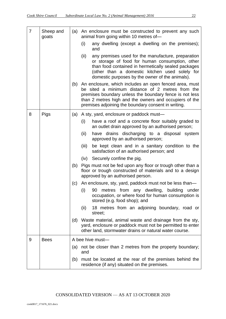| $\overline{7}$ | Sheep and<br>goats |     | (a) An enclosure must be constructed to prevent any such<br>animal from going within 10 metres of-                                                                                                                                                                                         |
|----------------|--------------------|-----|--------------------------------------------------------------------------------------------------------------------------------------------------------------------------------------------------------------------------------------------------------------------------------------------|
|                |                    |     | any dwelling (except a dwelling on the premises);<br>(i)<br>and                                                                                                                                                                                                                            |
|                |                    |     | (ii)<br>any premises used for the manufacture, preparation<br>or storage of food for human consumption, other<br>than food contained in hermetically sealed packages<br>(other than a domestic kitchen used solely for<br>domestic purposes by the owner of the animals).                  |
|                |                    |     | (b) An enclosure, which includes an open fenced area, must<br>be sited a minimum distance of 2 metres from the<br>premises boundary unless the boundary fence is not less<br>than 2 metres high and the owners and occupiers of the<br>premises adjoining the boundary consent in writing. |
| 8              | Pigs               | (a) | A sty, yard, enclosure or paddock must-                                                                                                                                                                                                                                                    |
|                |                    |     | have a roof and a concrete floor suitably graded to<br>(i)<br>an outlet drain approved by an authorised person;                                                                                                                                                                            |
|                |                    |     | have drains discharging to a disposal system<br>(ii)<br>approved by an authorised person;                                                                                                                                                                                                  |
|                |                    |     | be kept clean and in a sanitary condition to the<br>(iii)<br>satisfaction of an authorised person; and                                                                                                                                                                                     |
|                |                    |     | (iv) Securely confine the pig.                                                                                                                                                                                                                                                             |
|                |                    | (b) | Pigs must not be fed upon any floor or trough other than a<br>floor or trough constructed of materials and to a design<br>approved by an authorised person.                                                                                                                                |
|                |                    | (c) | An enclosure, sty, yard, paddock must not be less than—                                                                                                                                                                                                                                    |
|                |                    |     | metres from any dwelling,<br>(i)<br>building<br>under<br>90<br>occupation, or where food for human consumption is<br>stored (e.g. food shop); and                                                                                                                                          |
|                |                    |     | 18 metres from an adjoining boundary, road or<br>(ii)<br>street;                                                                                                                                                                                                                           |
|                |                    | (d) | Waste material, animal waste and drainage from the sty,<br>yard, enclosure or paddock must not be permitted to enter<br>other land, stormwater drains or natural water course.                                                                                                             |
| 9              | <b>Bees</b>        |     | A bee hive must-                                                                                                                                                                                                                                                                           |
|                |                    | (a) | not be closer than 2 metres from the property boundary;<br>and                                                                                                                                                                                                                             |
|                |                    | (b) | must be located at the rear of the premises behind the<br>residence (if any) situated on the premises.                                                                                                                                                                                     |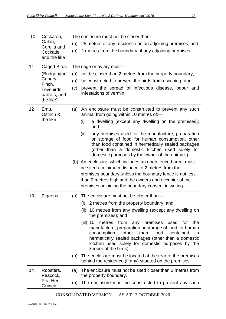| 10 | Cockatoo,                                                                    | The enclosure must not be closer than-                                                                                                                                                                                                                                                                                |  |  |  |
|----|------------------------------------------------------------------------------|-----------------------------------------------------------------------------------------------------------------------------------------------------------------------------------------------------------------------------------------------------------------------------------------------------------------------|--|--|--|
|    | Galah,<br>Corella and                                                        | 25 metres of any residence on an adjoining premises; and<br>(a)                                                                                                                                                                                                                                                       |  |  |  |
|    | Cockatiel<br>and the like                                                    | (b) 2 metres from the boundary of any adjoining premises                                                                                                                                                                                                                                                              |  |  |  |
| 11 | Caged Birds                                                                  | The cage or aviary must-                                                                                                                                                                                                                                                                                              |  |  |  |
|    | (Budgerigar,<br>Canary,<br>Finch,<br>Lovebirds,<br>parrots, and<br>the like) | not be closer than 2 metres from the property boundary;<br>(a)                                                                                                                                                                                                                                                        |  |  |  |
|    |                                                                              | be constructed to prevent the birds from escaping; and<br>(b)                                                                                                                                                                                                                                                         |  |  |  |
|    |                                                                              | prevent the spread of infectious disease, odour and<br>(c)<br>infestations of vermin.                                                                                                                                                                                                                                 |  |  |  |
| 12 | Emu,<br>Ostrich &<br>the like                                                | An enclosure must be constructed to prevent any such<br>(a)<br>animal from going within 10 metres of:-                                                                                                                                                                                                                |  |  |  |
|    |                                                                              | a dwelling (except any dwelling on the premises);<br>(i)<br>and                                                                                                                                                                                                                                                       |  |  |  |
|    |                                                                              | any premises used for the manufacture, preparation<br>(ii)<br>or storage of food for human consumption, other<br>than food contained in hermetically sealed packages<br>(other than a domestic kitchen used solely for<br>domestic purposes by the owner of the animals).                                             |  |  |  |
|    |                                                                              | (b) An enclosure, which includes an open fenced area, must<br>be sited a minimum distance of 2 metres from the<br>premises boundary unless the boundary fence is not less<br>than 2 metres high and the owners and occupier of the<br>premises adjoining the boundary consent in writing.                             |  |  |  |
| 13 | Pigeons                                                                      | The enclosure must not be closer than-<br>(a)                                                                                                                                                                                                                                                                         |  |  |  |
|    |                                                                              | 2 metres from the property boundary; and<br>(1)                                                                                                                                                                                                                                                                       |  |  |  |
|    |                                                                              | 10 metres from any dwelling (except any dwelling on<br>(ii)<br>the premises); and                                                                                                                                                                                                                                     |  |  |  |
|    |                                                                              | $(iii)$ 10<br>metres from any premises<br>used<br>for<br>the<br>manufacture, preparation or storage of food for human<br>consumption,<br>other<br>than<br>food<br>contained<br>in<br>hermetically sealed packages (other than a domestic<br>kitchen used solely for domestic purposes by the<br>keeper of the birds). |  |  |  |
|    |                                                                              | The enclosure must be located at the rear of the premises<br>(b)<br>behind the residence (if any) situated on the premises.                                                                                                                                                                                           |  |  |  |
| 14 | Roosters,<br>Peacock,                                                        | The enclosure must not be sited closer than 2 metres from<br>(a)<br>the property boundary.                                                                                                                                                                                                                            |  |  |  |
|    | Pea Hen,<br>Guinea                                                           | The enclosure must be constructed to prevent any such<br>(b)                                                                                                                                                                                                                                                          |  |  |  |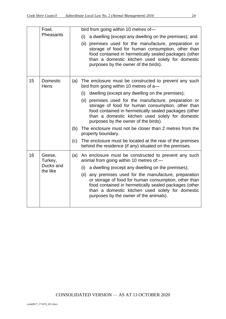|    | Fowl,<br>Pheasants                         |     | bird from going within 10 metres of-                                                                                                                                                                                                                                                                                                                                                                                                      |
|----|--------------------------------------------|-----|-------------------------------------------------------------------------------------------------------------------------------------------------------------------------------------------------------------------------------------------------------------------------------------------------------------------------------------------------------------------------------------------------------------------------------------------|
|    |                                            |     | (i)<br>a dwelling (except any dwelling on the premises); and                                                                                                                                                                                                                                                                                                                                                                              |
|    |                                            |     | (ii) premises used for the manufacture, preparation or<br>storage of food for human consumption, other than<br>food contained in hermetically sealed packages (other<br>than a domestic kitchen used solely for domestic<br>purposes by the owner of the birds).                                                                                                                                                                          |
| 15 | Domestic<br>Hens                           | (a) | The enclosure must be constructed to prevent any such<br>bird from going within 10 metres of a-                                                                                                                                                                                                                                                                                                                                           |
|    |                                            |     | dwelling (except any dwelling on the premises);<br>(i)                                                                                                                                                                                                                                                                                                                                                                                    |
|    |                                            |     | (ii) premises used for the manufacture, preparation or<br>storage of food for human consumption, other than<br>food contained in hermetically sealed packages (other<br>than a domestic kitchen used solely for domestic<br>purposes by the owner of the birds).                                                                                                                                                                          |
|    |                                            | (b) | The enclosure must not be closer than 2 metres from the<br>property boundary.                                                                                                                                                                                                                                                                                                                                                             |
|    |                                            | (c) | The enclosure must be located at the rear of the premises<br>behind the residence (if any) situated on the premises.                                                                                                                                                                                                                                                                                                                      |
| 16 | Geese,<br>Turkey,<br>Ducks and<br>the like |     | (a) An enclosure must be constructed to prevent any such<br>animal from going within 10 metres of:-<br>(i)<br>a dwelling (except any dwelling on the premises);<br>(ii) any premises used for the manufacture, preparation<br>or storage of food for human consumption, other than<br>food contained in hermetically sealed packages (other<br>than a domestic kitchen used solely for domestic<br>purposes by the owner of the animals). |
|    |                                            |     |                                                                                                                                                                                                                                                                                                                                                                                                                                           |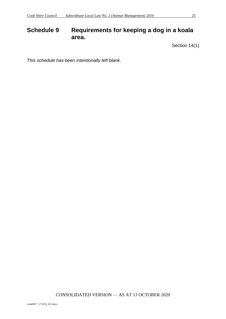## <span id="page-24-0"></span>**Schedule 9 Requirements for keeping a dog in a koala area.**

Section 14(1)

*This schedule has been intentionally left blank.*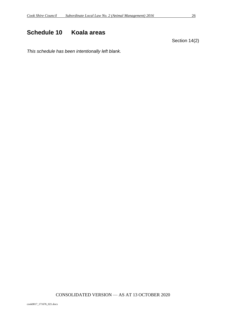## <span id="page-25-0"></span>**Schedule 10 Koala areas**

Section 14(2)

*This schedule has been intentionally left blank.*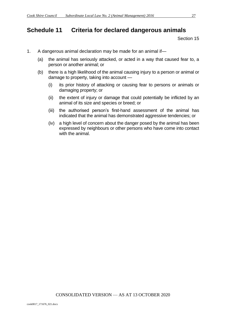## <span id="page-26-0"></span>**Schedule 11 Criteria for declared dangerous animals**

- 1. A dangerous animal declaration may be made for an animal if—
	- (a) the animal has seriously attacked, or acted in a way that caused fear to, a person or another animal; or
	- (b) there is a high likelihood of the animal causing injury to a person or animal or damage to property, taking into account —
		- (i) its prior history of attacking or causing fear to persons or animals or damaging property; or
		- (ii) the extent of injury or damage that could potentially be inflicted by an animal of its size and species or breed; or
		- (iii) the authorised person's first-hand assessment of the animal has indicated that the animal has demonstrated aggressive tendencies; or
		- (iv) a high level of concern about the danger posed by the animal has been expressed by neighbours or other persons who have come into contact with the animal.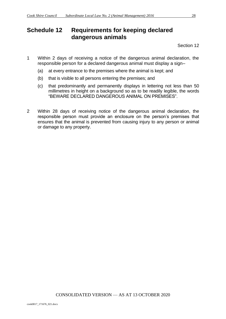## <span id="page-27-0"></span>**Schedule 12 Requirements for keeping declared dangerous animals**

- 1 Within 2 days of receiving a notice of the dangerous animal declaration, the responsible person for a declared dangerous animal must display a sign–
	- (a) at every entrance to the premises where the animal is kept; and
	- (b) that is visible to all persons entering the premises; and
	- (c) that predominantly and permanently displays in lettering not less than 50 millimetres in height on a background so as to be readily legible, the words "BEWARE DECLARED DANGEROUS ANIMAL ON PREMISES".
- 2 Within 28 days of receiving notice of the dangerous animal declaration, the responsible person must provide an enclosure on the person's premises that ensures that the animal is prevented from causing injury to any person or animal or damage to any property.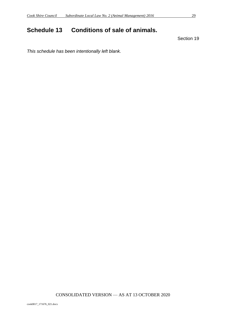## <span id="page-28-0"></span>**Schedule 13 Conditions of sale of animals.**

Section 19

*This schedule has been intentionally left blank.*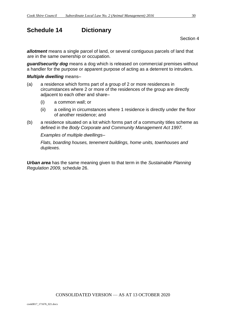## <span id="page-29-0"></span>**Schedule 14 Dictionary**

Section 4

*allotment* means a single parcel of land, or several contiguous parcels of land that are in the same ownership or occupation.

*guard/security dog* means a dog which is released on commercial premises without a handler for the purpose or apparent purpose of acting as a deterrent to intruders.

#### *Multiple dwelling* means–

- (a) a residence which forms part of a group of 2 or more residences in circumstances where 2 or more of the residences of the group are directly adjacent to each other and share–
	- (i) a common wall; or
	- (ii) a ceiling in circumstances where 1 residence is directly under the floor of another residence; and
- (b) a residence situated on a lot which forms part of a community titles scheme as defined in the *Body Corporate and Community Management Act 1997.*

*Examples of multiple dwellings–*

*Flats, boarding houses, tenement buildings, home units, townhouses and duplexes.*

*Urban area* has the same meaning given to that term in the *Sustainable Planning Regulation 2009,* schedule 26.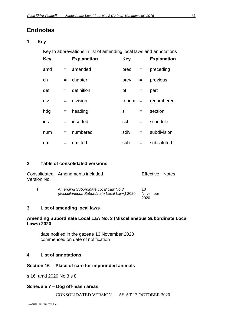## **Endnotes**

**1 Key**

Key to abbreviations in list of amending local laws and annotations

| <b>Key</b> |     | <b>Explanation</b> | <b>Key</b> |     | <b>Explanation</b> |
|------------|-----|--------------------|------------|-----|--------------------|
| amd        |     | $=$ amended        | prec       | $=$ | preceding          |
| ch         | $=$ | chapter            | prev       | $=$ | previous           |
| def        | $=$ | definition         | pt         | $=$ | part               |
| div        | $=$ | division           | renum      | $=$ | renumbered         |
| hdg        |     | $=$ heading        | S          | $=$ | section            |
| ins        | $=$ | inserted           | sch        | $=$ | schedule           |
| num        | $=$ | numbered           | sdiv       | $=$ | subdivision        |
| <b>om</b>  | $=$ | omitted            | sub        | $=$ | substituted        |

#### **2 Table of consolidated versions**

| Version No.      | Consolidated Amendments included                                                   | Effective Notes |  |
|------------------|------------------------------------------------------------------------------------|-----------------|--|
| $\blacksquare$ 1 | Amending Subordinate Local Law No.3<br>(Miscellaneous Subordinate Local Laws) 2020 | 13<br>November  |  |

#### **3 List of amending local laws**

#### **Amending Subordinate Local Law No. 3 (Miscellaneous Subordinate Local Laws) 2020**

2020

date notified in the gazette 13 November 2020 commenced on date of notification

#### **4 List of annotations**

#### **Section 16— Place of care for impounded animals**

s 16 amd 2020 No.3 s 8

#### **Schedule 7 – Dog off-leash areas**

CONSOLIDATED VERSION — AS AT 13 OCTOBER 2020